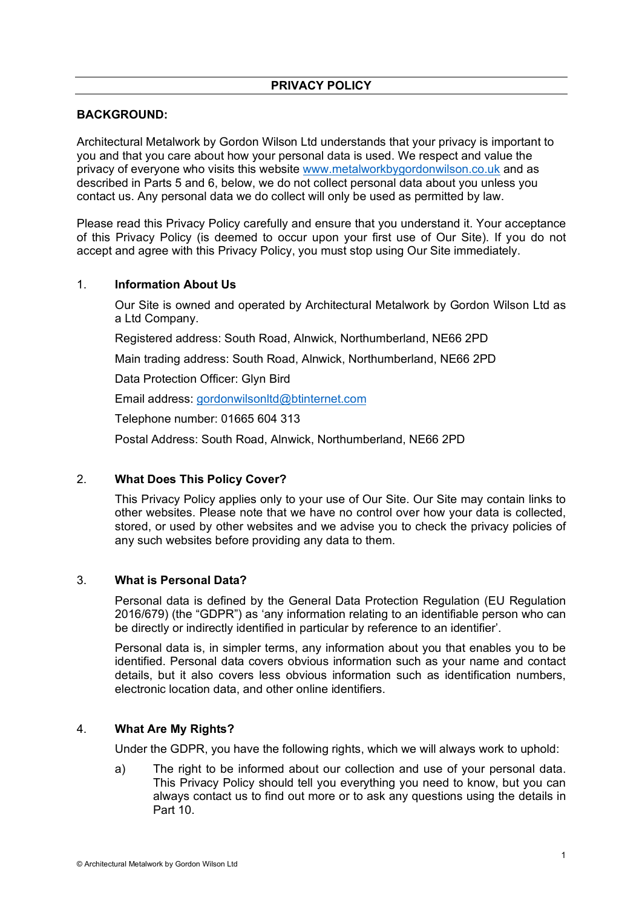# **PRIVACY POLICY**

## **BACKGROUND:**

Architectural Metalwork by Gordon Wilson Ltd understands that your privacy is important to you and that you care about how your personal data is used. We respect and value the privacy of everyone who visits this website www.metalworkbygordonwilson.co.uk and as described in Parts 5 and 6, below, we do not collect personal data about you unless you contact us. Any personal data we do collect will only be used as permitted by law.

Please read this Privacy Policy carefully and ensure that you understand it. Your acceptance of this Privacy Policy (is deemed to occur upon your first use of Our Site). If you do not accept and agree with this Privacy Policy, you must stop using Our Site immediately.

### 1. **Information About Us**

Our Site is owned and operated by Architectural Metalwork by Gordon Wilson Ltd as a Ltd Company.

Registered address: South Road, Alnwick, Northumberland, NE66 2PD

Main trading address: South Road, Alnwick, Northumberland, NE66 2PD

Data Protection Officer: Glyn Bird

Email address: gordonwilsonltd@btinternet.com

Telephone number: 01665 604 313

Postal Address: South Road, Alnwick, Northumberland, NE66 2PD

## 2. **What Does This Policy Cover?**

This Privacy Policy applies only to your use of Our Site. Our Site may contain links to other websites. Please note that we have no control over how your data is collected, stored, or used by other websites and we advise you to check the privacy policies of any such websites before providing any data to them.

## 3. **What is Personal Data?**

Personal data is defined by the General Data Protection Regulation (EU Regulation 2016/679) (the "GDPR") as 'any information relating to an identifiable person who can be directly or indirectly identified in particular by reference to an identifier'.

Personal data is, in simpler terms, any information about you that enables you to be identified. Personal data covers obvious information such as your name and contact details, but it also covers less obvious information such as identification numbers, electronic location data, and other online identifiers.

## 4. **What Are My Rights?**

Under the GDPR, you have the following rights, which we will always work to uphold:

a) The right to be informed about our collection and use of your personal data. This Privacy Policy should tell you everything you need to know, but you can always contact us to find out more or to ask any questions using the details in Part 10.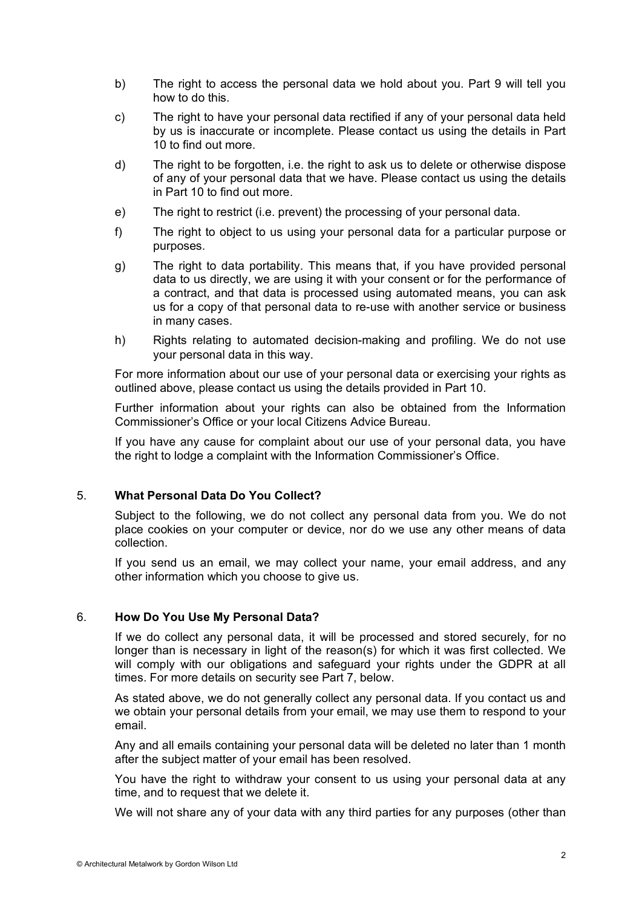- b) The right to access the personal data we hold about you. Part 9 will tell you how to do this.
- c) The right to have your personal data rectified if any of your personal data held by us is inaccurate or incomplete. Please contact us using the details in Part 10 to find out more.
- d) The right to be forgotten, i.e. the right to ask us to delete or otherwise dispose of any of your personal data that we have. Please contact us using the details in Part 10 to find out more.
- e) The right to restrict (i.e. prevent) the processing of your personal data.
- f) The right to object to us using your personal data for a particular purpose or purposes.
- g) The right to data portability. This means that, if you have provided personal data to us directly, we are using it with your consent or for the performance of a contract, and that data is processed using automated means, you can ask us for a copy of that personal data to re-use with another service or business in many cases.
- h) Rights relating to automated decision-making and profiling. We do not use your personal data in this way.

For more information about our use of your personal data or exercising your rights as outlined above, please contact us using the details provided in Part 10.

Further information about your rights can also be obtained from the Information Commissioner's Office or your local Citizens Advice Bureau.

If you have any cause for complaint about our use of your personal data, you have the right to lodge a complaint with the Information Commissioner's Office.

### 5. **What Personal Data Do You Collect?**

Subject to the following, we do not collect any personal data from you. We do not place cookies on your computer or device, nor do we use any other means of data collection.

If you send us an email, we may collect your name, your email address, and any other information which you choose to give us.

#### 6. **How Do You Use My Personal Data?**

If we do collect any personal data, it will be processed and stored securely, for no longer than is necessary in light of the reason(s) for which it was first collected. We will comply with our obligations and safeguard your rights under the GDPR at all times. For more details on security see Part 7, below.

As stated above, we do not generally collect any personal data. If you contact us and we obtain your personal details from your email, we may use them to respond to your email.

Any and all emails containing your personal data will be deleted no later than 1 month after the subject matter of your email has been resolved.

You have the right to withdraw your consent to us using your personal data at any time, and to request that we delete it.

We will not share any of your data with any third parties for any purposes (other than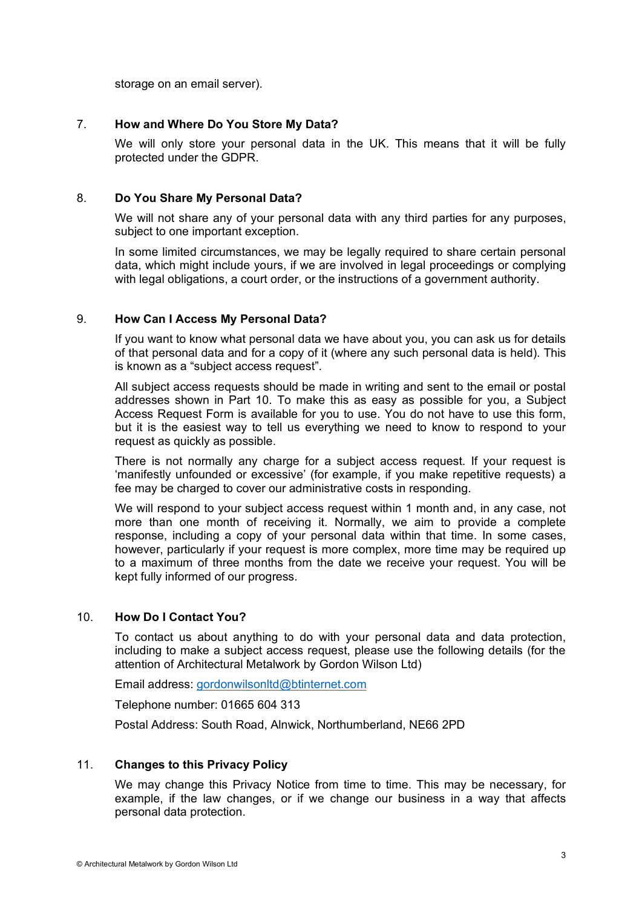storage on an email server).

### 7. **How and Where Do You Store My Data?**

We will only store your personal data in the UK. This means that it will be fully protected under the GDPR.

### 8. **Do You Share My Personal Data?**

We will not share any of your personal data with any third parties for any purposes, subject to one important exception.

In some limited circumstances, we may be legally required to share certain personal data, which might include yours, if we are involved in legal proceedings or complying with legal obligations, a court order, or the instructions of a government authority.

### 9. **How Can I Access My Personal Data?**

If you want to know what personal data we have about you, you can ask us for details of that personal data and for a copy of it (where any such personal data is held). This is known as a "subject access request".

All subject access requests should be made in writing and sent to the email or postal addresses shown in Part 10. To make this as easy as possible for you, a Subject Access Request Form is available for you to use. You do not have to use this form, but it is the easiest way to tell us everything we need to know to respond to your request as quickly as possible.

There is not normally any charge for a subject access request. If your request is 'manifestly unfounded or excessive' (for example, if you make repetitive requests) a fee may be charged to cover our administrative costs in responding.

We will respond to your subject access request within 1 month and, in any case, not more than one month of receiving it. Normally, we aim to provide a complete response, including a copy of your personal data within that time. In some cases, however, particularly if your request is more complex, more time may be required up to a maximum of three months from the date we receive your request. You will be kept fully informed of our progress.

## 10. **How Do I Contact You?**

To contact us about anything to do with your personal data and data protection, including to make a subject access request, please use the following details (for the attention of Architectural Metalwork by Gordon Wilson Ltd)

Email address: gordonwilsonltd@btinternet.com

Telephone number: 01665 604 313

Postal Address: South Road, Alnwick, Northumberland, NE66 2PD

## 11. **Changes to this Privacy Policy**

We may change this Privacy Notice from time to time. This may be necessary, for example, if the law changes, or if we change our business in a way that affects personal data protection.